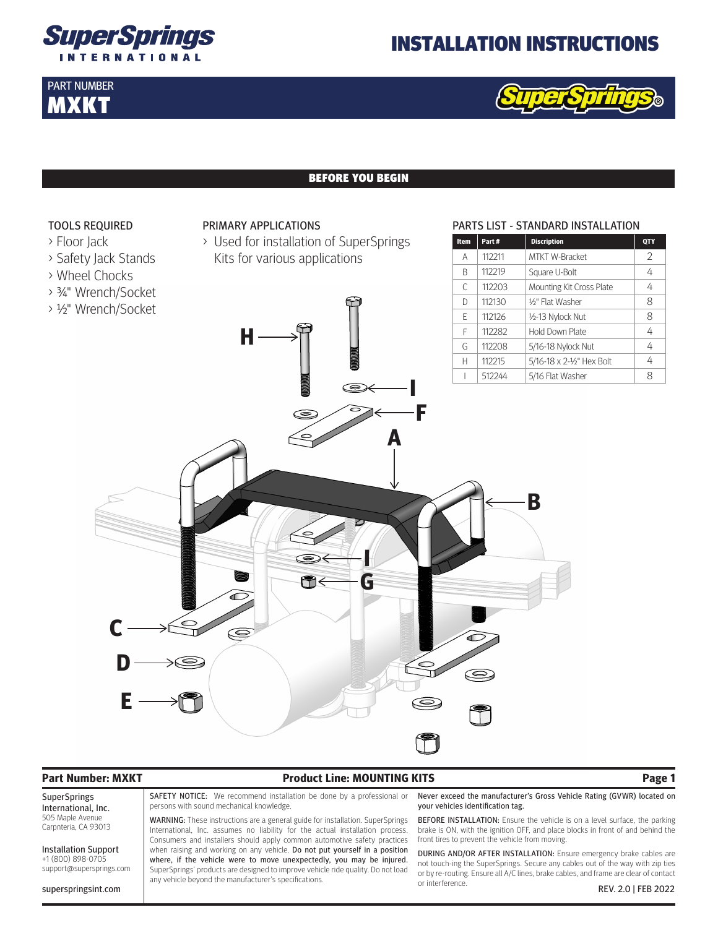

PART NUMBER **MXKT** 

## INSTALLATION INSTRUCTIONS



## BEFORE YOU BEGIN



## **Part Number: MXKT Product Line: MOUNTING KITS Page 1**

SuperSprings International, Inc. 505 Maple Avenue Carpnteria, CA 93013

Installation Support +1 (800) 898-0705 support@supersprings.com

SAFETY NOTICE: We recommend installation be done by a professional or persons with sound mechanical knowledge.

WARNING: These instructions are a general guide for installation. SuperSprings International, Inc. assumes no liability for the actual installation process. Consumers and installers should apply common automotive safety practices when raising and working on any vehicle. Do not put yourself in a position where, if the vehicle were to move unexpectedly, you may be injured. SuperSprings' products are designed to improve vehicle ride quality. Do not load any vehicle beyond the manufacturer's specifications.

Never exceed the manufacturer's Gross Vehicle Rating (GVWR) located on your vehicles identification tag.

BEFORE INSTALLATION: Ensure the vehicle is on a level surface, the parking brake is ON, with the ignition OFF, and place blocks in front of and behind the front tires to prevent the vehicle from moving.

superspringsint.com REV. 2.0 | FEB 2022 DURING AND/OR AFTER INSTALLATION: Ensure emergency brake cables are not touch-ing the SuperSprings. Secure any cables out of the way with zip ties or by re-routing. Ensure all A/C lines, brake cables, and frame are clear of contact or interference.